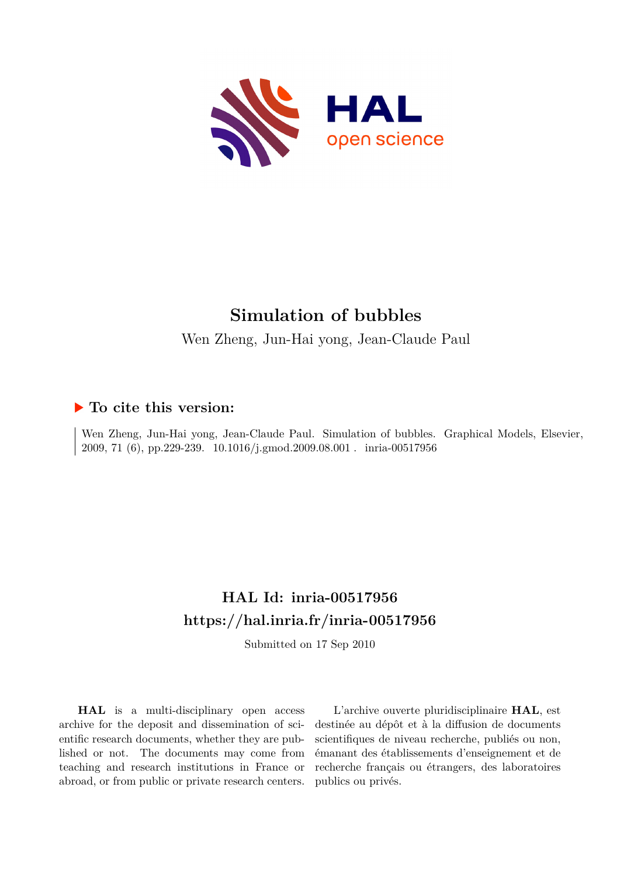

# **Simulation of bubbles**

Wen Zheng, Jun-Hai yong, Jean-Claude Paul

# **To cite this version:**

Wen Zheng, Jun-Hai yong, Jean-Claude Paul. Simulation of bubbles. Graphical Models, Elsevier, 2009, 71 (6), pp.229-239. 10.1016/j.gmod.2009.08.001 . inria-00517956

# **HAL Id: inria-00517956 <https://hal.inria.fr/inria-00517956>**

Submitted on 17 Sep 2010

**HAL** is a multi-disciplinary open access archive for the deposit and dissemination of scientific research documents, whether they are published or not. The documents may come from teaching and research institutions in France or abroad, or from public or private research centers.

L'archive ouverte pluridisciplinaire **HAL**, est destinée au dépôt et à la diffusion de documents scientifiques de niveau recherche, publiés ou non, émanant des établissements d'enseignement et de recherche français ou étrangers, des laboratoires publics ou privés.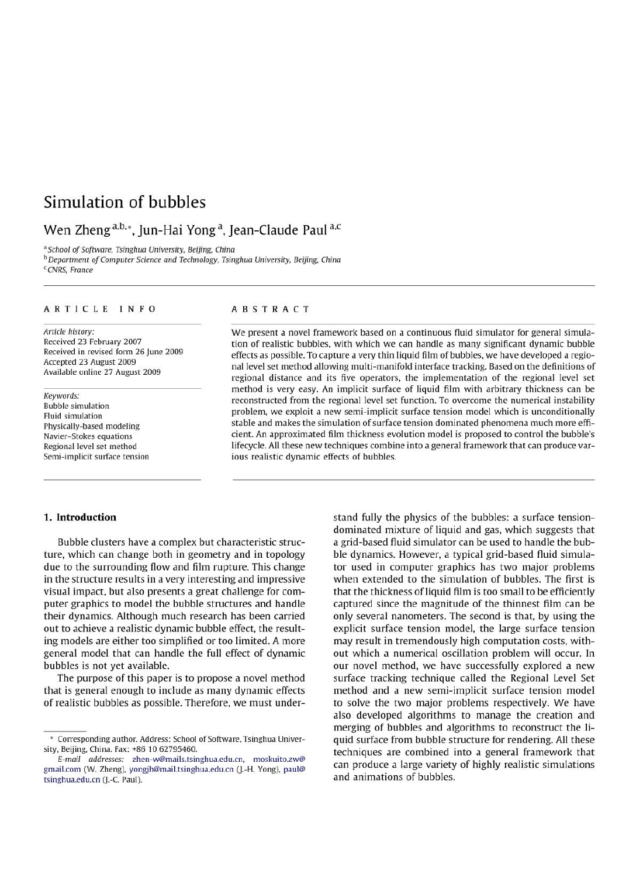# Simulation of bubbles

# Wen Zheng<sup>a,b,\*</sup>, Jun-Hai Yong<sup>a</sup>, Jean-Claude Paul<sup>a,c</sup>

<sup>a</sup> School of Software, Tsinghua University, Beijing, China

<sup>b</sup> Department of Computer Science and Technology, Tsinghua University, Beijing, China <sup>c</sup> CNRS, France

# ARTICLE INFO

Article history: Received 23 February 2007 Received in revised form 26 June 2009 Accepted 23 August 2009 Available online 27 August 2009

Keywords: **Bubble simulation** Fluid simulation Physically-based modeling Navier-Stokes equations Regional level set method Semi-implicit surface tension

# **ABSTRACT**

We present a novel framework based on a continuous fluid simulator for general simulation of realistic bubbles, with which we can handle as many significant dynamic bubble effects as possible. To capture a very thin liquid film of bubbles, we have developed a regional level set method allowing multi-manifold interface tracking. Based on the definitions of regional distance and its five operators, the implementation of the regional level set method is very easy. An implicit surface of liquid film with arbitrary thickness can be reconstructed from the regional level set function. To overcome the numerical instability problem, we exploit a new semi-implicit surface tension model which is unconditionally stable and makes the simulation of surface tension dominated phenomena much more efficient. An approximated film thickness evolution model is proposed to control the bubble's lifecycle. All these new techniques combine into a general framework that can produce various realistic dynamic effects of bubbles.

# 1. Introduction

Bubble clusters have a complex but characteristic structure, which can change both in geometry and in topology due to the surrounding flow and film rupture. This change in the structure results in a very interesting and impressive visual impact, but also presents a great challenge for computer graphics to model the bubble structures and handle their dynamics. Although much research has been carried out to achieve a realistic dynamic bubble effect, the resulting models are either too simplified or too limited. A more general model that can handle the full effect of dynamic bubbles is not yet available.

The purpose of this paper is to propose a novel method that is general enough to include as many dynamic effects of realistic bubbles as possible. Therefore, we must understand fully the physics of the bubbles: a surface tensiondominated mixture of liquid and gas, which suggests that a grid-based fluid simulator can be used to handle the bubble dynamics. However, a typical grid-based fluid simulator used in computer graphics has two major problems when extended to the simulation of bubbles. The first is that the thickness of liquid film is too small to be efficiently captured since the magnitude of the thinnest film can be only several nanometers. The second is that, by using the explicit surface tension model, the large surface tension may result in tremendously high computation costs, without which a numerical oscillation problem will occur. In our novel method, we have successfully explored a new surface tracking technique called the Regional Level Set method and a new semi-implicit surface tension model to solve the two major problems respectively. We have also developed algorithms to manage the creation and merging of bubbles and algorithms to reconstruct the liquid surface from bubble structure for rendering. All these techniques are combined into a general framework that can produce a large variety of highly realistic simulations and animations of bubbles.

<sup>\*</sup> Corresponding author. Address: School of Software, Tsinghua University, Beijing, China. Fax: +86 10 62795460.

E-mail addresses: zhen-w@mails.tsinghua.edu.cn, moskuito.zw@ gmail.com (W. Zheng), yongjh@mail.tsinghua.edu.cn (J.-H. Yong), paul@ tsinghua.edu.cn (I.-C. Paul).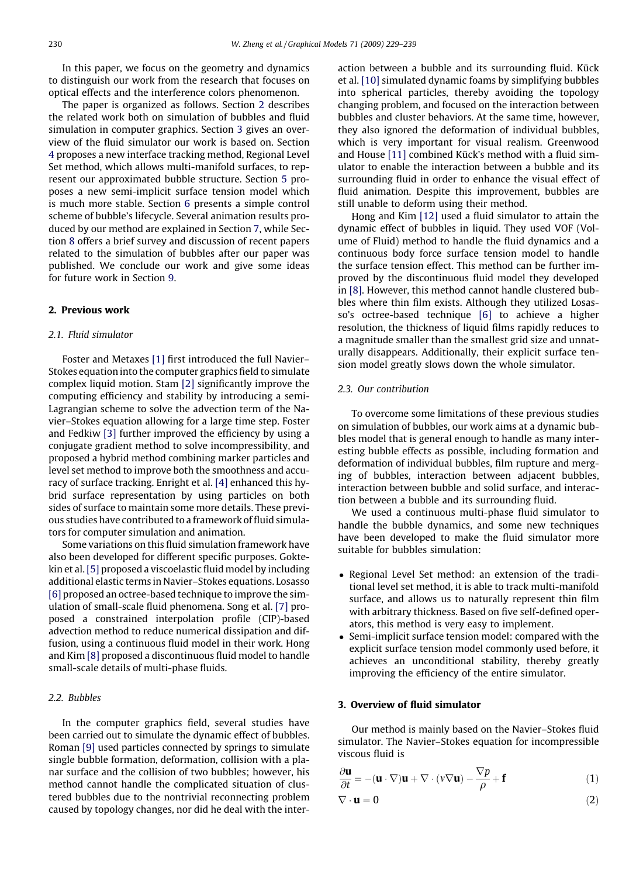In this paper, we focus on the geometry and dynamics to distinguish our work from the research that focuses on optical effects and the interference colors phenomenon.

The paper is organized as follows. Section 2 describes the related work both on simulation of bubbles and fluid simulation in computer graphics. Section 3 gives an overview of the fluid simulator our work is based on. Section 4 proposes a new interface tracking method, Regional Level Set method, which allows multi-manifold surfaces, to represent our approximated bubble structure. Section 5 proposes a new semi-implicit surface tension model which is much more stable. Section 6 presents a simple control scheme of bubble's lifecycle. Several animation results produced by our method are explained in Section 7, while Section 8 offers a brief survey and discussion of recent papers related to the simulation of bubbles after our paper was published. We conclude our work and give some ideas for future work in Section 9.

# 2. Previous work

#### 2.1. Fluid simulator

Foster and Metaxes [1] first introduced the full Navier– Stokes equation into the computer graphics field to simulate complex liquid motion. Stam [2] significantly improve the computing efficiency and stability by introducing a semi-Lagrangian scheme to solve the advection term of the Navier–Stokes equation allowing for a large time step. Foster and Fedkiw [3] further improved the efficiency by using a conjugate gradient method to solve incompressibility, and proposed a hybrid method combining marker particles and level set method to improve both the smoothness and accuracy of surface tracking. Enright et al. [4] enhanced this hybrid surface representation by using particles on both sides of surface to maintain some more details. These previous studies have contributed to a framework of fluid simulators for computer simulation and animation.

Some variations on this fluid simulation framework have also been developed for different specific purposes. Goktekin et al.[5] proposed a viscoelastic fluid model by including additional elastic terms in Navier–Stokes equations. Losasso [6] proposed an octree-based technique to improve the simulation of small-scale fluid phenomena. Song et al. [7] proposed a constrained interpolation profile (CIP)-based advection method to reduce numerical dissipation and diffusion, using a continuous fluid model in their work. Hong and Kim [8] proposed a discontinuous fluid model to handle small-scale details of multi-phase fluids.

# 2.2. Bubbles

In the computer graphics field, several studies have been carried out to simulate the dynamic effect of bubbles. Roman [9] used particles connected by springs to simulate single bubble formation, deformation, collision with a planar surface and the collision of two bubbles; however, his method cannot handle the complicated situation of clustered bubbles due to the nontrivial reconnecting problem caused by topology changes, nor did he deal with the interaction between a bubble and its surrounding fluid. Kück et al. [10] simulated dynamic foams by simplifying bubbles into spherical particles, thereby avoiding the topology changing problem, and focused on the interaction between bubbles and cluster behaviors. At the same time, however, they also ignored the deformation of individual bubbles, which is very important for visual realism. Greenwood and House [11] combined Kück's method with a fluid simulator to enable the interaction between a bubble and its surrounding fluid in order to enhance the visual effect of fluid animation. Despite this improvement, bubbles are still unable to deform using their method.

Hong and Kim [12] used a fluid simulator to attain the dynamic effect of bubbles in liquid. They used VOF (Volume of Fluid) method to handle the fluid dynamics and a continuous body force surface tension model to handle the surface tension effect. This method can be further improved by the discontinuous fluid model they developed in [8]. However, this method cannot handle clustered bubbles where thin film exists. Although they utilized Losasso's octree-based technique [6] to achieve a higher resolution, the thickness of liquid films rapidly reduces to a magnitude smaller than the smallest grid size and unnaturally disappears. Additionally, their explicit surface tension model greatly slows down the whole simulator.

### 2.3. Our contribution

To overcome some limitations of these previous studies on simulation of bubbles, our work aims at a dynamic bubbles model that is general enough to handle as many interesting bubble effects as possible, including formation and deformation of individual bubbles, film rupture and merging of bubbles, interaction between adjacent bubbles, interaction between bubble and solid surface, and interaction between a bubble and its surrounding fluid.

We used a continuous multi-phase fluid simulator to handle the bubble dynamics, and some new techniques have been developed to make the fluid simulator more suitable for bubbles simulation:

- Regional Level Set method: an extension of the traditional level set method, it is able to track multi-manifold surface, and allows us to naturally represent thin film with arbitrary thickness. Based on five self-defined operators, this method is very easy to implement.
- Semi-implicit surface tension model: compared with the explicit surface tension model commonly used before, it achieves an unconditional stability, thereby greatly improving the efficiency of the entire simulator.

## 3. Overview of fluid simulator

Our method is mainly based on the Navier–Stokes fluid simulator. The Navier–Stokes equation for incompressible viscous fluid is

$$
\frac{\partial \mathbf{u}}{\partial t} = -(\mathbf{u} \cdot \nabla)\mathbf{u} + \nabla \cdot (\nu \nabla \mathbf{u}) - \frac{\nabla p}{\rho} + \mathbf{f}
$$
(1)

$$
\nabla \cdot \mathbf{u} = 0 \tag{2}
$$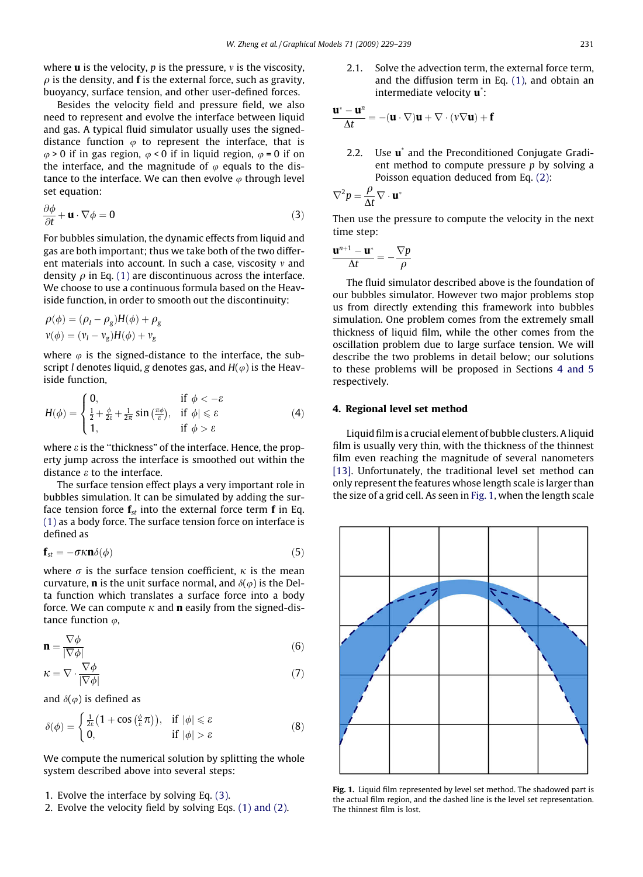where **u** is the velocity, *p* is the pressure, *v* is the viscosity,  $\rho$  is the density, and **f** is the external force, such as gravity, buoyancy, surface tension, and other user-defined forces.

Besides the velocity field and pressure field, we also need to represent and evolve the interface between liquid and gas. A typical fluid simulator usually uses the signeddistance function  $\varphi$  to represent the interface, that is  $\varphi$  > 0 if in gas region,  $\varphi$  < 0 if in liquid region,  $\varphi$  = 0 if on the interface, and the magnitude of  $\varphi$  equals to the distance to the interface. We can then evolve  $\varphi$  through level set equation:

$$
\frac{\partial \phi}{\partial t} + \mathbf{u} \cdot \nabla \phi = 0
$$
 (3)

For bubbles simulation, the dynamic effects from liquid and gas are both important; thus we take both of the two different materials into account. In such a case, viscosity  $v$  and density  $\rho$  in Eq. (1) are discontinuous across the interface. We choose to use a continuous formula based on the Heaviside function, in order to smooth out the discontinuity:

$$
\rho(\phi) = (\rho_l - \rho_g)H(\phi) + \rho_g
$$
  

$$
v(\phi) = (v_l - v_g)H(\phi) + v_g
$$

where  $\varphi$  is the signed-distance to the interface, the subscript *l* denotes liquid, g denotes gas, and  $H(\varphi)$  is the Heaviside function,

$$
H(\phi) = \begin{cases} 0, & \text{if } \phi < -\varepsilon \\ \frac{1}{2} + \frac{\phi}{2\varepsilon} + \frac{1}{2\pi} \sin\left(\frac{\pi\phi}{\varepsilon}\right), & \text{if } \phi \mid \leq \varepsilon \\ 1, & \text{if } \phi > \varepsilon \end{cases} \tag{4}
$$

where  $\varepsilon$  is the "thickness" of the interface. Hence, the property jump across the interface is smoothed out within the distance  $\varepsilon$  to the interface.

The surface tension effect plays a very important role in bubbles simulation. It can be simulated by adding the surface tension force  $f_{st}$  into the external force term  $f$  in Eq. (1) as a body force. The surface tension force on interface is defined as

$$
\mathbf{f}_{st} = -\sigma \kappa \mathbf{n} \delta(\phi) \tag{5}
$$

where  $\sigma$  is the surface tension coefficient,  $\kappa$  is the mean curvature, **n** is the unit surface normal, and  $\delta(\varphi)$  is the Delta function which translates a surface force into a body force. We can compute  $\kappa$  and **n** easily from the signed-distance function  $\varphi$ ,

$$
\mathbf{n} = \frac{\nabla \phi}{|\nabla \phi|} \tag{6}
$$

$$
\kappa = \nabla \cdot \frac{\nabla \phi}{|\nabla \phi|} \tag{7}
$$

and  $\delta(\varphi)$  is defined as

$$
\delta(\phi) = \begin{cases} \frac{1}{2\varepsilon} \left( 1 + \cos\left(\frac{\phi}{\varepsilon}\pi\right) \right), & \text{if } |\phi| \leqslant \varepsilon \\ 0, & \text{if } |\phi| > \varepsilon \end{cases}
$$
 (8)

We compute the numerical solution by splitting the whole system described above into several steps:

- 1. Evolve the interface by solving Eq. (3).
- 2. Evolve the velocity field by solving Eqs. (1) and (2).

2.1. Solve the advection term, the external force term, and the diffusion term in Eq. (1), and obtain an intermediate velocity  $\mathbf{u}^*$ :

$$
\frac{\mathbf{u}^* - \mathbf{u}^n}{\Delta t} = -(\mathbf{u} \cdot \nabla)\mathbf{u} + \nabla \cdot (\mathbf{v} \nabla \mathbf{u}) + \mathbf{f}
$$

2.2. Use  $\mathbf{u}^*$  and the Preconditioned Conjugate Gradient method to compute pressure  $p$  by solving a Poisson equation deduced from Eq. (2):

$$
\nabla^2 p = \frac{\rho}{\Delta t} \nabla \cdot \mathbf{u}^*
$$

Then use the pressure to compute the velocity in the next time step:

$$
\frac{\mathbf{u}^{n+1} - \mathbf{u}^*}{\Delta t} = -\frac{\nabla p}{\rho}
$$

The fluid simulator described above is the foundation of our bubbles simulator. However two major problems stop us from directly extending this framework into bubbles simulation. One problem comes from the extremely small thickness of liquid film, while the other comes from the oscillation problem due to large surface tension. We will describe the two problems in detail below; our solutions to these problems will be proposed in Sections 4 and 5 respectively.

# 4. Regional level set method

Liquid film is a crucial element of bubble clusters. A liquid film is usually very thin, with the thickness of the thinnest film even reaching the magnitude of several nanometers [13]. Unfortunately, the traditional level set method can only represent the features whose length scale is larger than the size of a grid cell. As seen in Fig. 1, when the length scale



Fig. 1. Liquid film represented by level set method. The shadowed part is the actual film region, and the dashed line is the level set representation. The thinnest film is lost.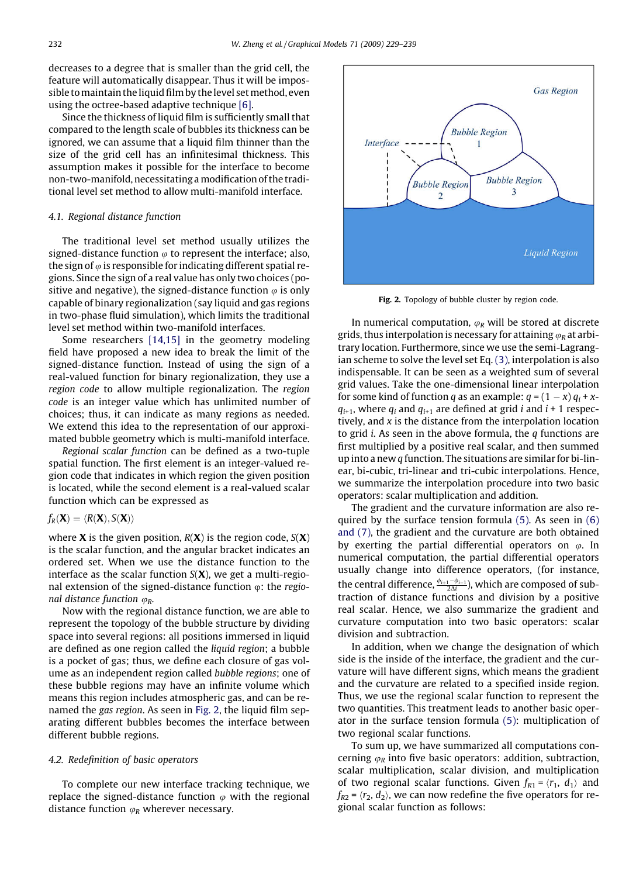decreases to a degree that is smaller than the grid cell, the feature will automatically disappear. Thus it will be impossible to maintain the liquid film by the level set method, even using the octree-based adaptive technique [6].

Since the thickness of liquid film is sufficiently small that compared to the length scale of bubbles its thickness can be ignored, we can assume that a liquid film thinner than the size of the grid cell has an infinitesimal thickness. This assumption makes it possible for the interface to become non-two-manifold, necessitating amodification of the traditional level set method to allow multi-manifold interface.

## 4.1. Regional distance function

The traditional level set method usually utilizes the signed-distance function  $\varphi$  to represent the interface; also, the sign of  $\varphi$  is responsible for indicating different spatial regions. Since the sign of a real value has only two choices (positive and negative), the signed-distance function  $\varphi$  is only capable of binary regionalization (say liquid and gas regions in two-phase fluid simulation), which limits the traditional level set method within two-manifold interfaces.

Some researchers [14,15] in the geometry modeling field have proposed a new idea to break the limit of the signed-distance function. Instead of using the sign of a real-valued function for binary regionalization, they use a region code to allow multiple regionalization. The region code is an integer value which has unlimited number of choices; thus, it can indicate as many regions as needed. We extend this idea to the representation of our approximated bubble geometry which is multi-manifold interface.

Regional scalar function can be defined as a two-tuple spatial function. The first element is an integer-valued region code that indicates in which region the given position is located, while the second element is a real-valued scalar function which can be expressed as

# $f_R(\mathbf{X}) = \langle R(\mathbf{X}), S(\mathbf{X}) \rangle$

where **X** is the given position,  $R(X)$  is the region code,  $S(X)$ is the scalar function, and the angular bracket indicates an ordered set. When we use the distance function to the interface as the scalar function  $S(X)$ , we get a multi-regional extension of the signed-distance function  $\varphi$ : the regional distance function  $\varphi_R$ .

Now with the regional distance function, we are able to represent the topology of the bubble structure by dividing space into several regions: all positions immersed in liquid are defined as one region called the liquid region; a bubble is a pocket of gas; thus, we define each closure of gas volume as an independent region called bubble regions; one of these bubble regions may have an infinite volume which means this region includes atmospheric gas, and can be renamed the gas region. As seen in Fig. 2, the liquid film separating different bubbles becomes the interface between different bubble regions.

#### 4.2. Redefinition of basic operators

To complete our new interface tracking technique, we replace the signed-distance function  $\varphi$  with the regional distance function  $\varphi_R$  wherever necessary.



Fig. 2. Topology of bubble cluster by region code.

In numerical computation,  $\varphi_R$  will be stored at discrete grids, thus interpolation is necessary for attaining  $\varphi_R$  at arbitrary location. Furthermore, since we use the semi-Lagrangian scheme to solve the level set Eq. (3), interpolation is also indispensable. It can be seen as a weighted sum of several grid values. Take the one-dimensional linear interpolation for some kind of function q as an example:  $q = (1 - x) q_i + x$  $q_{i+1}$ , where  $q_i$  and  $q_{i+1}$  are defined at grid i and  $i + 1$  respectively, and  $x$  is the distance from the interpolation location to grid *i*. As seen in the above formula, the  $q$  functions are first multiplied by a positive real scalar, and then summed up into a new q function. The situations are similar for bi-linear, bi-cubic, tri-linear and tri-cubic interpolations. Hence, we summarize the interpolation procedure into two basic operators: scalar multiplication and addition.

The gradient and the curvature information are also required by the surface tension formula (5). As seen in (6) and (7), the gradient and the curvature are both obtained by exerting the partial differential operators on  $\varphi$ . In numerical computation, the partial differential operators usually change into difference operators, (for instance, the central difference,  $\frac{\phi_{i+1}-\phi_{i-1}}{2\Delta i}$ ), which are composed of subtraction of distance functions and division by a positive real scalar. Hence, we also summarize the gradient and curvature computation into two basic operators: scalar division and subtraction.

In addition, when we change the designation of which side is the inside of the interface, the gradient and the curvature will have different signs, which means the gradient and the curvature are related to a specified inside region. Thus, we use the regional scalar function to represent the two quantities. This treatment leads to another basic operator in the surface tension formula (5): multiplication of two regional scalar functions.

To sum up, we have summarized all computations concerning  $\varphi_R$  into five basic operators: addition, subtraction, scalar multiplication, scalar division, and multiplication of two regional scalar functions. Given  $f_{R1} = \langle r_1, d_1 \rangle$  and  $f_{R2} = \langle r_2, d_2 \rangle$ , we can now redefine the five operators for regional scalar function as follows: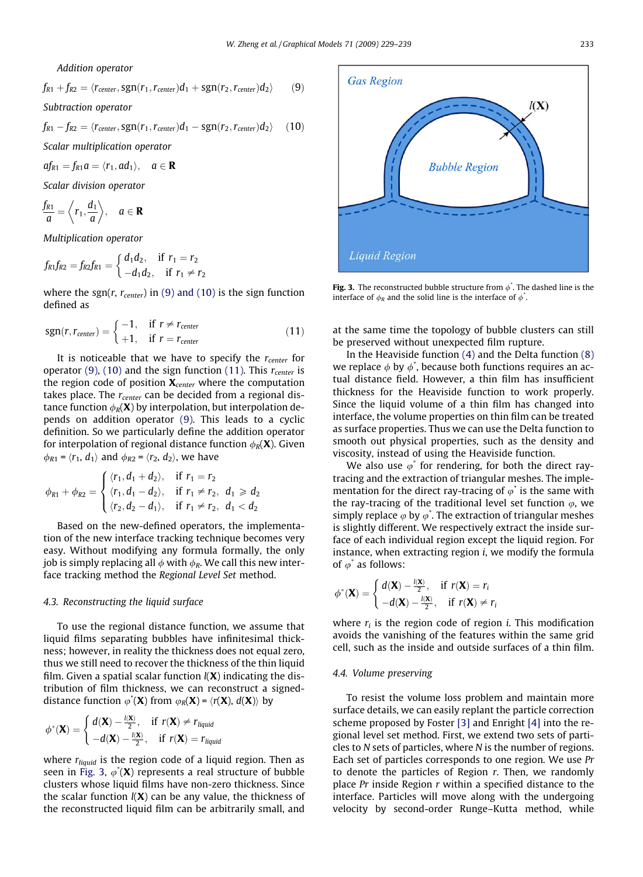Addition operator

$$
f_{R1} + f_{R2} = \langle r_{center}, \text{sgn}(r_1, r_{center})d_1 + \text{sgn}(r_2, r_{center})d_2 \rangle \qquad (9)
$$

Subtraction operator

$$
f_{R1} - f_{R2} = \langle r_{center}, \text{sgn}(r_1, r_{center})d_1 - \text{sgn}(r_2, r_{center})d_2 \rangle \quad (10)
$$

Scalar multiplication operator

$$
af_{R1}=f_{R1}a=\langle r_1,ad_1\rangle, \quad a\in\mathbf{R}
$$

Scalar division operator

$$
\frac{f_{R1}}{a} = \left\langle r_1, \frac{d_1}{a} \right\rangle, \quad a \in \mathbf{R}
$$

Multiplication operator

$$
f_{R1}f_{R2} = f_{R2}f_{R1} = \begin{cases} d_1d_2, & \text{if } r_1 = r_2 \\ -d_1d_2, & \text{if } r_1 \neq r_2 \end{cases}
$$

where the sgn(r,  $r_{center}$ ) in (9) and (10) is the sign function defined as

$$
sgn(r, r_{center}) = \begin{cases} -1, & \text{if } r \neq r_{center} \\ +1, & \text{if } r = r_{center} \end{cases}
$$
(11)

It is noticeable that we have to specify the  $r_{center}$  for operator (9), (10) and the sign function (11). This  $r_{center}$  is the region code of position  $\mathbf{X}_{center}$  where the computation takes place. The  $r_{center}$  can be decided from a regional distance function  $\phi_R(\mathbf{X})$  by interpolation, but interpolation depends on addition operator (9). This leads to a cyclic definition. So we particularly define the addition operator for interpolation of regional distance function  $\phi_R(\mathbf{X})$ . Given  $\phi_{R1} = \langle r_1, d_1 \rangle$  and  $\phi_{R2} = \langle r_2, d_2 \rangle$ , we have

$$
\phi_{R1} + \phi_{R2} = \begin{cases} \langle r_1, d_1 + d_2 \rangle, & \text{if } r_1 = r_2 \\ \langle r_1, d_1 - d_2 \rangle, & \text{if } r_1 \neq r_2, d_1 \geq d_2 \\ \langle r_2, d_2 - d_1 \rangle, & \text{if } r_1 \neq r_2, d_1 < d_2 \end{cases}
$$

Based on the new-defined operators, the implementation of the new interface tracking technique becomes very easy. Without modifying any formula formally, the only job is simply replacing all  $\phi$  with  $\phi_R$ . We call this new interface tracking method the Regional Level Set method.

## 4.3. Reconstructing the liquid surface

To use the regional distance function, we assume that liquid films separating bubbles have infinitesimal thickness; however, in reality the thickness does not equal zero, thus we still need to recover the thickness of the thin liquid film. Given a spatial scalar function  $I(X)$  indicating the distribution of film thickness, we can reconstruct a signeddistance function  $\varphi^*(\mathbf{X})$  from  $\varphi_R(\mathbf{X}) = \langle r(\mathbf{X}), d(\mathbf{X}) \rangle$  by

$$
\phi^*(\mathbf{X}) = \begin{cases} d(\mathbf{X}) - \frac{l(\mathbf{X})}{2}, & \text{if } r(\mathbf{X}) \neq r_{liquid} \\ -d(\mathbf{X}) - \frac{l(\mathbf{X})}{2}, & \text{if } r(\mathbf{X}) = r_{liquid} \end{cases}
$$

where  $r_{liquid}$  is the region code of a liquid region. Then as seen in Fig. 3,  $\varphi^*(\mathbf{X})$  represents a real structure of bubble clusters whose liquid films have non-zero thickness. Since the scalar function  $I(X)$  can be any value, the thickness of the reconstructed liquid film can be arbitrarily small, and



**Fig. 3.** The reconstructed bubble structure from  $\phi^*$ . The dashed line is the interface of  $\phi_R$  and the solid line is the interface of  $\phi^*$ .

at the same time the topology of bubble clusters can still be preserved without unexpected film rupture.

In the Heaviside function (4) and the Delta function (8) we replace  $\phi$  by  $\phi^*$ , because both functions requires an actual distance field. However, a thin film has insufficient thickness for the Heaviside function to work properly. Since the liquid volume of a thin film has changed into interface, the volume properties on thin film can be treated as surface properties. Thus we can use the Delta function to smooth out physical properties, such as the density and viscosity, instead of using the Heaviside function.

We also use  $\varphi^*$  for rendering, for both the direct raytracing and the extraction of triangular meshes. The implementation for the direct ray-tracing of  $\varphi^*$  is the same with the ray-tracing of the traditional level set function  $\varphi$ , we simply replace  $\varphi$  by  $\varphi^*$ . The extraction of triangular meshes is slightly different. We respectively extract the inside surface of each individual region except the liquid region. For instance, when extracting region i, we modify the formula of  $\varphi^*$  as follows:

$$
\phi^*(\mathbf{X}) = \begin{cases} d(\mathbf{X}) - \frac{l(\mathbf{X})}{2}, & \text{if } r(\mathbf{X}) = r_i \\ -d(\mathbf{X}) - \frac{l(\mathbf{X})}{2}, & \text{if } r(\mathbf{X}) \neq r_i \end{cases}
$$

where  $r_i$  is the region code of region *i*. This modification avoids the vanishing of the features within the same grid cell, such as the inside and outside surfaces of a thin film.

# 4.4. Volume preserving

To resist the volume loss problem and maintain more surface details, we can easily replant the particle correction scheme proposed by Foster [3] and Enright [4] into the regional level set method. First, we extend two sets of particles to N sets of particles, where N is the number of regions. Each set of particles corresponds to one region. We use Pr to denote the particles of Region  $r$ . Then, we randomly place  $Pr$  inside Region  $r$  within a specified distance to the interface. Particles will move along with the undergoing velocity by second-order Runge–Kutta method, while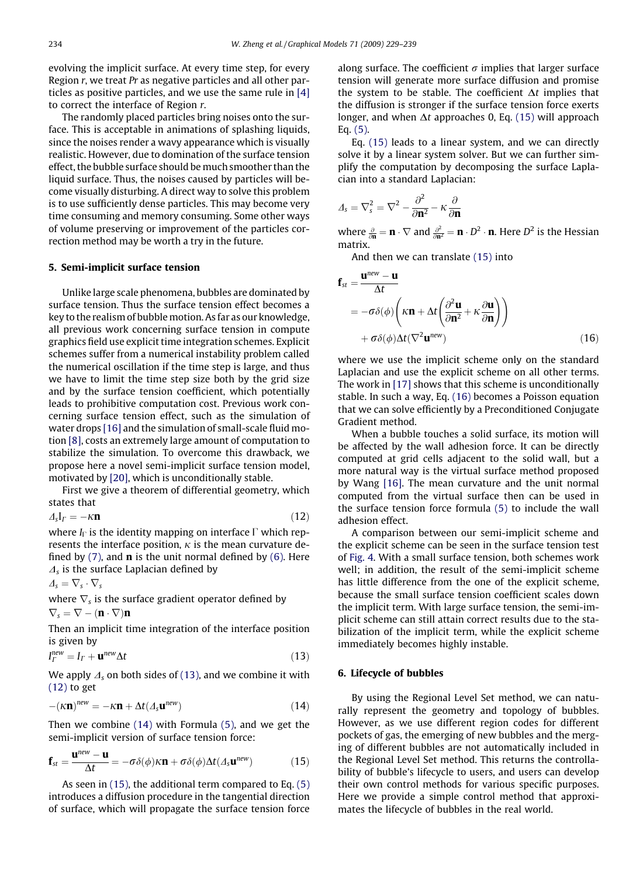evolving the implicit surface. At every time step, for every Region r, we treat Pr as negative particles and all other particles as positive particles, and we use the same rule in [4] to correct the interface of Region r.

The randomly placed particles bring noises onto the surface. This is acceptable in animations of splashing liquids, since the noises render a wavy appearance which is visually realistic. However, due to domination of the surface tension effect, the bubble surface should be much smoother than the liquid surface. Thus, the noises caused by particles will become visually disturbing. A direct way to solve this problem is to use sufficiently dense particles. This may become very time consuming and memory consuming. Some other ways of volume preserving or improvement of the particles correction method may be worth a try in the future.

# 5. Semi-implicit surface tension

Unlike large scale phenomena, bubbles are dominated by surface tension. Thus the surface tension effect becomes a key to the realism of bubble motion. As far as our knowledge, all previous work concerning surface tension in compute graphics field use explicit time integration schemes. Explicit schemes suffer from a numerical instability problem called the numerical oscillation if the time step is large, and thus we have to limit the time step size both by the grid size and by the surface tension coefficient, which potentially leads to prohibitive computation cost. Previous work concerning surface tension effect, such as the simulation of water drops [16] and the simulation of small-scale fluid motion [8], costs an extremely large amount of computation to stabilize the simulation. To overcome this drawback, we propose here a novel semi-implicit surface tension model, motivated by [20], which is unconditionally stable.

First we give a theorem of differential geometry, which states that

 $\Delta_s I_r = -\kappa \mathbf{n}$  (12)

where  $I_{\Gamma}$  is the identity mapping on interface  $\Gamma$  which represents the interface position,  $\kappa$  is the mean curvature defined by  $(7)$ , and **n** is the unit normal defined by  $(6)$ . Here  $\Delta$ <sub>s</sub> is the surface Laplacian defined by

$$
\varDelta_{\mathsf{s}} = \nabla_{\mathsf{s}} \cdot \nabla_{\mathsf{s}}
$$

where  $\nabla_s$  is the surface gradient operator defined by  $\nabla_{\mathbf{s}} = \nabla - (\mathbf{n} \cdot \nabla) \mathbf{n}$ 

Then an implicit time integration of the interface position is given by

$$
I_T^{new} = I_T + \mathbf{u}^{new} \Delta t \tag{13}
$$

We apply  $\Delta$ , on both sides of (13), and we combine it with  $(12)$  to get

$$
-(\kappa \mathbf{n})^{new} = -\kappa \mathbf{n} + \Delta t (\Delta_s \mathbf{u}^{new})
$$
\n(14)

Then we combine (14) with Formula (5), and we get the semi-implicit version of surface tension force:

$$
\mathbf{f}_{st} = \frac{\mathbf{u}^{new} - \mathbf{u}}{\Delta t} = -\sigma \delta(\phi) \kappa \mathbf{n} + \sigma \delta(\phi) \Delta t (\Delta_s \mathbf{u}^{new})
$$
(15)

As seen in (15), the additional term compared to Eq. (5) introduces a diffusion procedure in the tangential direction of surface, which will propagate the surface tension force

along surface. The coefficient  $\sigma$  implies that larger surface tension will generate more surface diffusion and promise the system to be stable. The coefficient  $\Delta t$  implies that the diffusion is stronger if the surface tension force exerts longer, and when  $\Delta t$  approaches 0, Eq. (15) will approach Eq. (5).

Eq. (15) leads to a linear system, and we can directly solve it by a linear system solver. But we can further simplify the computation by decomposing the surface Laplacian into a standard Laplacian:

$$
\varDelta_{s} = \nabla_{s}^{2} = \nabla^{2} - \frac{\partial^{2}}{\partial \mathbf{n}^{2}} - \kappa \frac{\partial}{\partial \mathbf{n}}
$$

where  $\frac{\partial}{\partial n} = \mathbf{n} \cdot \nabla$  and  $\frac{\partial^2}{\partial n^2} = \mathbf{n} \cdot D^2 \cdot \mathbf{n}$ . Here  $D^2$  is the Hessian matrix.

And then we can translate (15) into

$$
\mathbf{f}_{st} = \frac{\mathbf{u}^{new} - \mathbf{u}}{\Delta t}
$$
  
=  $-\sigma \delta(\phi) \left( \kappa \mathbf{n} + \Delta t \left( \frac{\partial^2 \mathbf{u}}{\partial \mathbf{n}^2} + \kappa \frac{\partial \mathbf{u}}{\partial \mathbf{n}} \right) \right)$   
+  $\sigma \delta(\phi) \Delta t (\nabla^2 \mathbf{u}^{new})$  (16)

where we use the implicit scheme only on the standard Laplacian and use the explicit scheme on all other terms. The work in [17] shows that this scheme is unconditionally stable. In such a way, Eq. (16) becomes a Poisson equation that we can solve efficiently by a Preconditioned Conjugate Gradient method.

When a bubble touches a solid surface, its motion will be affected by the wall adhesion force. It can be directly computed at grid cells adjacent to the solid wall, but a more natural way is the virtual surface method proposed by Wang [16]. The mean curvature and the unit normal computed from the virtual surface then can be used in the surface tension force formula (5) to include the wall adhesion effect.

A comparison between our semi-implicit scheme and the explicit scheme can be seen in the surface tension test of Fig. 4. With a small surface tension, both schemes work well; in addition, the result of the semi-implicit scheme has little difference from the one of the explicit scheme, because the small surface tension coefficient scales down the implicit term. With large surface tension, the semi-implicit scheme can still attain correct results due to the stabilization of the implicit term, while the explicit scheme immediately becomes highly instable.

#### 6. Lifecycle of bubbles

By using the Regional Level Set method, we can naturally represent the geometry and topology of bubbles. However, as we use different region codes for different pockets of gas, the emerging of new bubbles and the merging of different bubbles are not automatically included in the Regional Level Set method. This returns the controllability of bubble's lifecycle to users, and users can develop their own control methods for various specific purposes. Here we provide a simple control method that approximates the lifecycle of bubbles in the real world.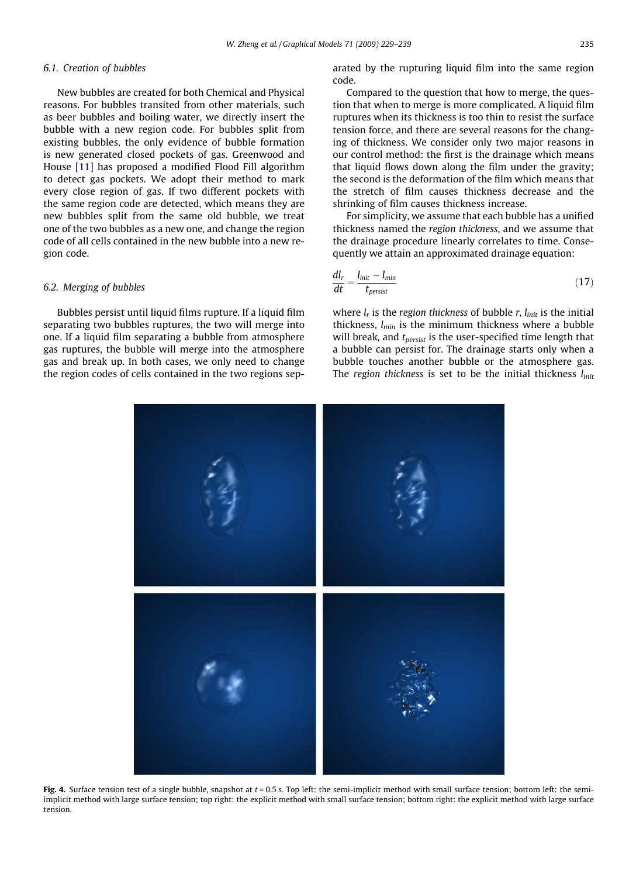# 6.1. Creation of bubbles

New bubbles are created for both Chemical and Physical reasons. For bubbles transited from other materials, such as beer bubbles and boiling water, we directly insert the bubble with a new region code. For bubbles split from existing bubbles, the only evidence of bubble formation is new generated closed pockets of gas. Greenwood and House [11] has proposed a modified Flood Fill algorithm to detect gas pockets. We adopt their method to mark every close region of gas. If two different pockets with the same region code are detected, which means they are new bubbles split from the same old bubble, we treat one of the two bubbles as a new one, and change the region code of all cells contained in the new bubble into a new region code.

#### 6.2. Merging of bubbles

Bubbles persist until liquid films rupture. If a liquid film separating two bubbles ruptures, the two will merge into one. If a liquid film separating a bubble from atmosphere gas ruptures, the bubble will merge into the atmosphere gas and break up. In both cases, we only need to change the region codes of cells contained in the two regions separated by the rupturing liquid film into the same region code.

Compared to the question that how to merge, the question that when to merge is more complicated. A liquid film ruptures when its thickness is too thin to resist the surface tension force, and there are several reasons for the changing of thickness. We consider only two major reasons in our control method: the first is the drainage which means that liquid flows down along the film under the gravity; the second is the deformation of the film which means that the stretch of film causes thickness decrease and the shrinking of film causes thickness increase.

For simplicity, we assume that each bubble has a unified thickness named the region thickness, and we assume that the drainage procedure linearly correlates to time. Consequently we attain an approximated drainage equation:

$$
\frac{dl_r}{dt} = \frac{l_{init} - l_{min}}{t_{persistent}}\tag{17}
$$

where  $l_r$  is the region thickness of bubble r,  $l_{init}$  is the initial thickness,  $l_{min}$  is the minimum thickness where a bubble will break, and  $t_{persist}$  is the user-specified time length that a bubble can persist for. The drainage starts only when a bubble touches another bubble or the atmosphere gas. The region thickness is set to be the initial thickness  $l_{init}$ 

Fig. 4. Surface tension test of a single bubble, snapshot at  $t = 0.5$  s. Top left: the semi-implicit method with small surface tension; bottom left: the semi-

implicit method with large surface tension; top right: the explicit method with small surface tension; bottom right: the explicit method with large surface tension.

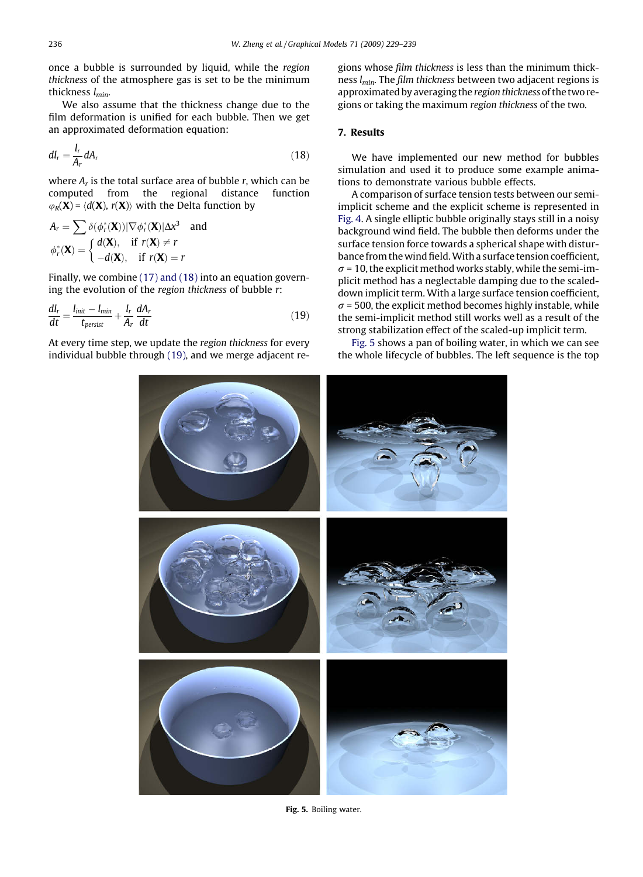once a bubble is surrounded by liquid, while the region thickness of the atmosphere gas is set to be the minimum thickness lmin.

We also assume that the thickness change due to the film deformation is unified for each bubble. Then we get an approximated deformation equation:

$$
dl_r = \frac{l_r}{A_r} dA_r \tag{18}
$$

where  $A_r$  is the total surface area of bubble r, which can be computed from the regional distance function  $computed$  from the regional distance  $\varphi_R(\mathbf{X}) = \langle d(\mathbf{X}), r(\mathbf{X})\rangle$  with the Delta function by

$$
A_r = \sum \delta(\phi_r^*(\mathbf{X}))|\nabla \phi_r^*(\mathbf{X})|\Delta x^3 \text{ and}
$$
  

$$
\phi_r^*(\mathbf{X}) = \begin{cases} d(\mathbf{X}), & \text{if } r(\mathbf{X}) \neq r \\ -d(\mathbf{X}), & \text{if } r(\mathbf{X}) = r \end{cases}
$$

Finally, we combine (17) and (18) into an equation governing the evolution of the region thickness of bubble r:

$$
\frac{dl_r}{dt} = \frac{l_{init} - l_{min}}{t_{persist}} + \frac{l_r}{A_r} \frac{dA_r}{dt}
$$
\n(19)

At every time step, we update the region thickness for every individual bubble through (19), and we merge adjacent regions whose film thickness is less than the minimum thickness  $l_{min}$ . The film thickness between two adjacent regions is approximated by averaging the region thicknessof the two regions or taking the maximum region thickness of the two.

# 7. Results

We have implemented our new method for bubbles simulation and used it to produce some example animations to demonstrate various bubble effects.

A comparison of surface tension tests between our semiimplicit scheme and the explicit scheme is represented in Fig. 4. A single elliptic bubble originally stays still in a noisy background wind field. The bubble then deforms under the surface tension force towards a spherical shape with disturbance from the wind field.With a surface tension coefficient,  $\sigma$  = 10, the explicit method works stably, while the semi-implicit method has a neglectable damping due to the scaleddown implicit term. With a large surface tension coefficient,  $\sigma$  = 500, the explicit method becomes highly instable, while the semi-implicit method still works well as a result of the strong stabilization effect of the scaled-up implicit term.

Fig. 5 shows a pan of boiling water, in which we can see the whole lifecycle of bubbles. The left sequence is the top



Fig. 5. Boiling water.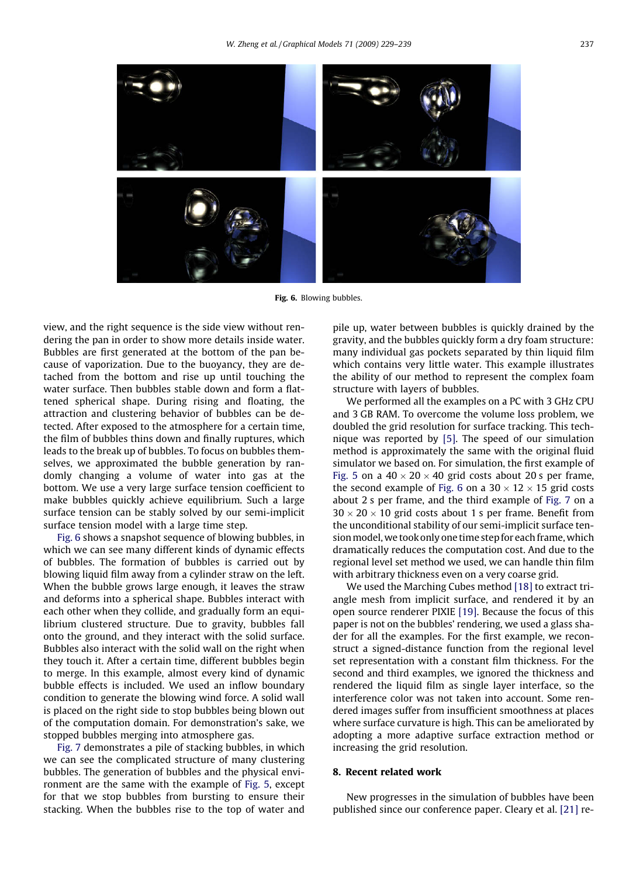

Fig. 6. Blowing bubbles.

view, and the right sequence is the side view without rendering the pan in order to show more details inside water. Bubbles are first generated at the bottom of the pan because of vaporization. Due to the buoyancy, they are detached from the bottom and rise up until touching the water surface. Then bubbles stable down and form a flattened spherical shape. During rising and floating, the attraction and clustering behavior of bubbles can be detected. After exposed to the atmosphere for a certain time, the film of bubbles thins down and finally ruptures, which leads to the break up of bubbles. To focus on bubbles themselves, we approximated the bubble generation by randomly changing a volume of water into gas at the bottom. We use a very large surface tension coefficient to make bubbles quickly achieve equilibrium. Such a large surface tension can be stably solved by our semi-implicit surface tension model with a large time step.

Fig. 6 shows a snapshot sequence of blowing bubbles, in which we can see many different kinds of dynamic effects of bubbles. The formation of bubbles is carried out by blowing liquid film away from a cylinder straw on the left. When the bubble grows large enough, it leaves the straw and deforms into a spherical shape. Bubbles interact with each other when they collide, and gradually form an equilibrium clustered structure. Due to gravity, bubbles fall onto the ground, and they interact with the solid surface. Bubbles also interact with the solid wall on the right when they touch it. After a certain time, different bubbles begin to merge. In this example, almost every kind of dynamic bubble effects is included. We used an inflow boundary condition to generate the blowing wind force. A solid wall is placed on the right side to stop bubbles being blown out of the computation domain. For demonstration's sake, we stopped bubbles merging into atmosphere gas.

Fig. 7 demonstrates a pile of stacking bubbles, in which we can see the complicated structure of many clustering bubbles. The generation of bubbles and the physical environment are the same with the example of Fig. 5, except for that we stop bubbles from bursting to ensure their stacking. When the bubbles rise to the top of water and pile up, water between bubbles is quickly drained by the gravity, and the bubbles quickly form a dry foam structure: many individual gas pockets separated by thin liquid film which contains very little water. This example illustrates the ability of our method to represent the complex foam structure with layers of bubbles.

We performed all the examples on a PC with 3 GHz CPU and 3 GB RAM. To overcome the volume loss problem, we doubled the grid resolution for surface tracking. This technique was reported by [5]. The speed of our simulation method is approximately the same with the original fluid simulator we based on. For simulation, the first example of Fig. 5 on a  $40 \times 20 \times 40$  grid costs about 20 s per frame, the second example of Fig. 6 on a  $30 \times 12 \times 15$  grid costs about 2 s per frame, and the third example of Fig. 7 on a  $30 \times 20 \times 10$  grid costs about 1 s per frame. Benefit from the unconditional stability of our semi-implicit surface tensionmodel, we took only one time step for each frame, which dramatically reduces the computation cost. And due to the regional level set method we used, we can handle thin film with arbitrary thickness even on a very coarse grid.

We used the Marching Cubes method [18] to extract triangle mesh from implicit surface, and rendered it by an open source renderer PIXIE [19]. Because the focus of this paper is not on the bubbles' rendering, we used a glass shader for all the examples. For the first example, we reconstruct a signed-distance function from the regional level set representation with a constant film thickness. For the second and third examples, we ignored the thickness and rendered the liquid film as single layer interface, so the interference color was not taken into account. Some rendered images suffer from insufficient smoothness at places where surface curvature is high. This can be ameliorated by adopting a more adaptive surface extraction method or increasing the grid resolution.

# 8. Recent related work

New progresses in the simulation of bubbles have been published since our conference paper. Cleary et al. [21] re-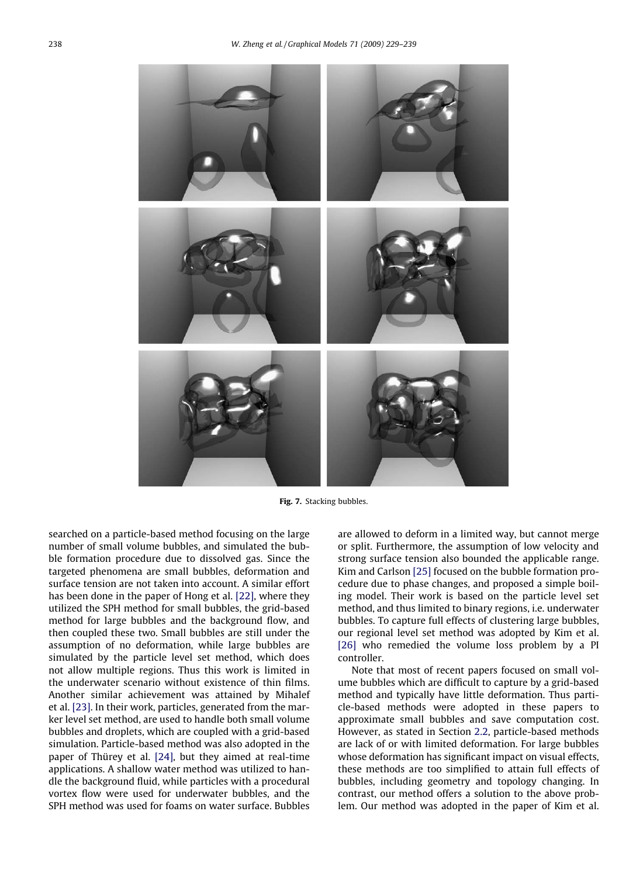

Fig. 7. Stacking bubbles.

searched on a particle-based method focusing on the large number of small volume bubbles, and simulated the bubble formation procedure due to dissolved gas. Since the targeted phenomena are small bubbles, deformation and surface tension are not taken into account. A similar effort has been done in the paper of Hong et al. [22], where they utilized the SPH method for small bubbles, the grid-based method for large bubbles and the background flow, and then coupled these two. Small bubbles are still under the assumption of no deformation, while large bubbles are simulated by the particle level set method, which does not allow multiple regions. Thus this work is limited in the underwater scenario without existence of thin films. Another similar achievement was attained by Mihalef et al. [23]. In their work, particles, generated from the marker level set method, are used to handle both small volume bubbles and droplets, which are coupled with a grid-based simulation. Particle-based method was also adopted in the paper of Thürey et al. [24], but they aimed at real-time applications. A shallow water method was utilized to handle the background fluid, while particles with a procedural vortex flow were used for underwater bubbles, and the SPH method was used for foams on water surface. Bubbles

are allowed to deform in a limited way, but cannot merge or split. Furthermore, the assumption of low velocity and strong surface tension also bounded the applicable range. Kim and Carlson [25] focused on the bubble formation procedure due to phase changes, and proposed a simple boiling model. Their work is based on the particle level set method, and thus limited to binary regions, i.e. underwater bubbles. To capture full effects of clustering large bubbles, our regional level set method was adopted by Kim et al. [26] who remedied the volume loss problem by a PI controller.

Note that most of recent papers focused on small volume bubbles which are difficult to capture by a grid-based method and typically have little deformation. Thus particle-based methods were adopted in these papers to approximate small bubbles and save computation cost. However, as stated in Section 2.2, particle-based methods are lack of or with limited deformation. For large bubbles whose deformation has significant impact on visual effects, these methods are too simplified to attain full effects of bubbles, including geometry and topology changing. In contrast, our method offers a solution to the above problem. Our method was adopted in the paper of Kim et al.